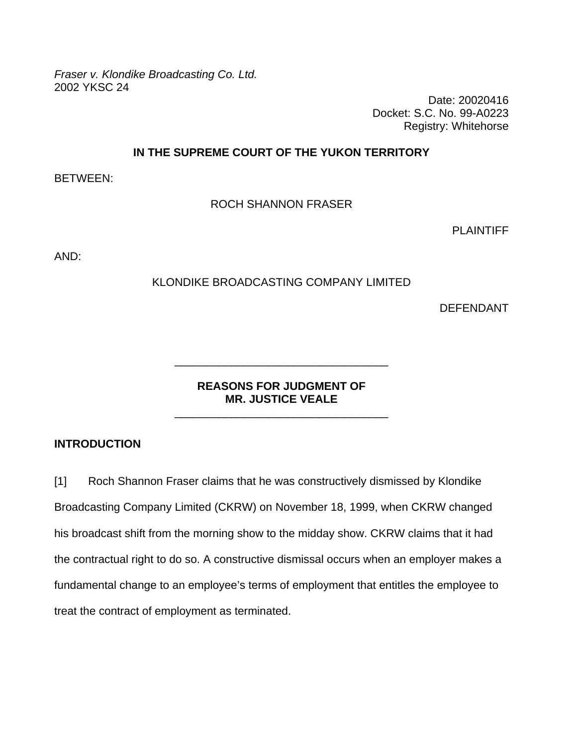*Fraser v. Klondike Broadcasting Co. Ltd.*  2002 YKSC 24

Date: 20020416 Docket: S.C. No. 99-A0223 Registry: Whitehorse

### **IN THE SUPREME COURT OF THE YUKON TERRITORY**

BETWEEN:

ROCH SHANNON FRASER

**PLAINTIFF** 

AND:

### KLONDIKE BROADCASTING COMPANY LIMITED

DEFENDANT

### **REASONS FOR JUDGMENT OF MR. JUSTICE VEALE**

\_\_\_\_\_\_\_\_\_\_\_\_\_\_\_\_\_\_\_\_\_\_\_\_\_\_\_\_\_\_\_\_\_\_

\_\_\_\_\_\_\_\_\_\_\_\_\_\_\_\_\_\_\_\_\_\_\_\_\_\_\_\_\_\_\_\_\_\_

#### **INTRODUCTION**

[1] Roch Shannon Fraser claims that he was constructively dismissed by Klondike Broadcasting Company Limited (CKRW) on November 18, 1999, when CKRW changed his broadcast shift from the morning show to the midday show. CKRW claims that it had the contractual right to do so. A constructive dismissal occurs when an employer makes a fundamental change to an employee's terms of employment that entitles the employee to treat the contract of employment as terminated.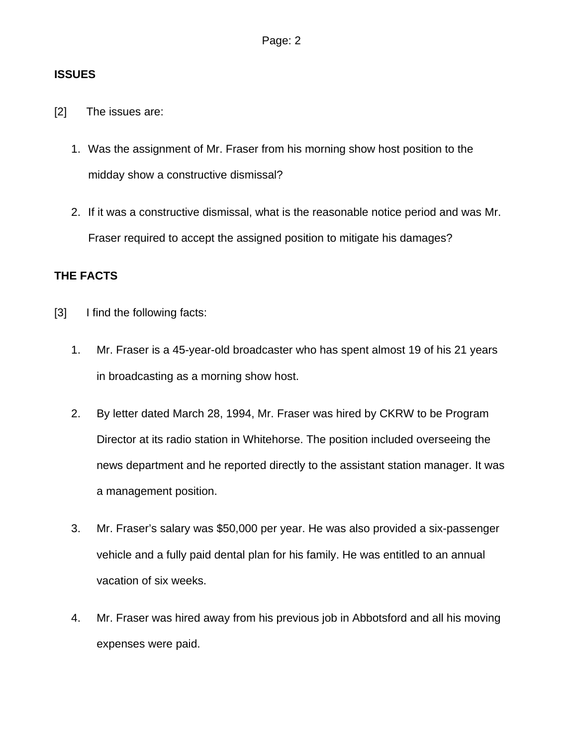## **ISSUES**

- [2] The issues are:
	- 1. Was the assignment of Mr. Fraser from his morning show host position to the midday show a constructive dismissal?
	- 2. If it was a constructive dismissal, what is the reasonable notice period and was Mr. Fraser required to accept the assigned position to mitigate his damages?

# **THE FACTS**

- [3] I find the following facts:
	- 1. Mr. Fraser is a 45-year-old broadcaster who has spent almost 19 of his 21 years in broadcasting as a morning show host.
	- 2. By letter dated March 28, 1994, Mr. Fraser was hired by CKRW to be Program Director at its radio station in Whitehorse. The position included overseeing the news department and he reported directly to the assistant station manager. It was a management position.
	- 3. Mr. Fraser's salary was \$50,000 per year. He was also provided a six-passenger vehicle and a fully paid dental plan for his family. He was entitled to an annual vacation of six weeks.
	- 4. Mr. Fraser was hired away from his previous job in Abbotsford and all his moving expenses were paid.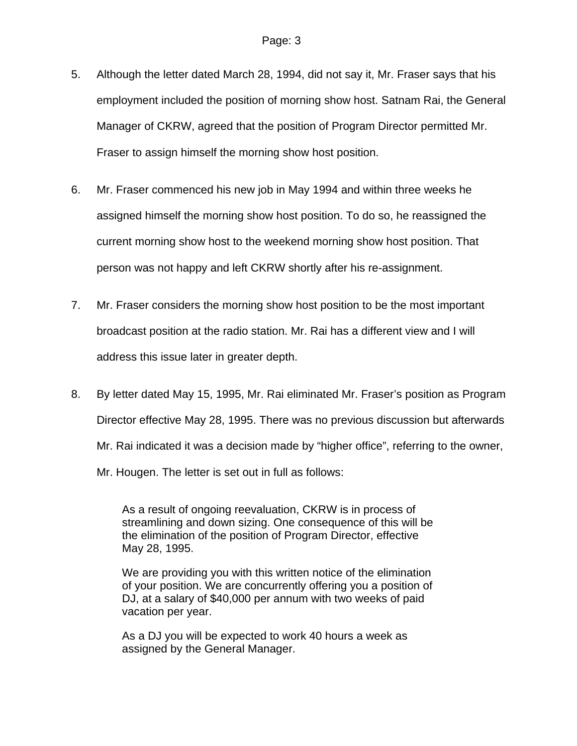- 5. Although the letter dated March 28, 1994, did not say it, Mr. Fraser says that his employment included the position of morning show host. Satnam Rai, the General Manager of CKRW, agreed that the position of Program Director permitted Mr. Fraser to assign himself the morning show host position.
- 6. Mr. Fraser commenced his new job in May 1994 and within three weeks he assigned himself the morning show host position. To do so, he reassigned the current morning show host to the weekend morning show host position. That person was not happy and left CKRW shortly after his re-assignment.
- 7. Mr. Fraser considers the morning show host position to be the most important broadcast position at the radio station. Mr. Rai has a different view and I will address this issue later in greater depth.
- 8. By letter dated May 15, 1995, Mr. Rai eliminated Mr. Fraser's position as Program Director effective May 28, 1995. There was no previous discussion but afterwards Mr. Rai indicated it was a decision made by "higher office", referring to the owner, Mr. Hougen. The letter is set out in full as follows:

As a result of ongoing reevaluation, CKRW is in process of streamlining and down sizing. One consequence of this will be the elimination of the position of Program Director, effective May 28, 1995.

We are providing you with this written notice of the elimination of your position. We are concurrently offering you a position of DJ, at a salary of \$40,000 per annum with two weeks of paid vacation per year.

As a DJ you will be expected to work 40 hours a week as assigned by the General Manager.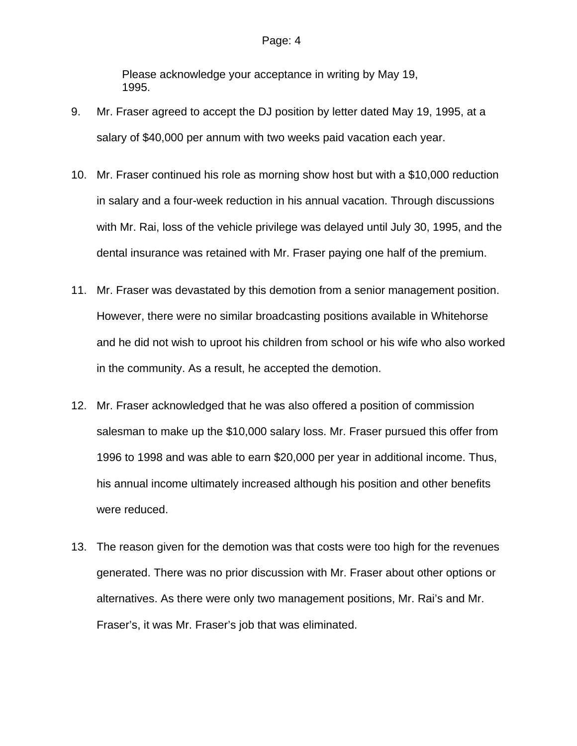Please acknowledge your acceptance in writing by May 19, 1995.

- 9. Mr. Fraser agreed to accept the DJ position by letter dated May 19, 1995, at a salary of \$40,000 per annum with two weeks paid vacation each year.
- 10. Mr. Fraser continued his role as morning show host but with a \$10,000 reduction in salary and a four-week reduction in his annual vacation. Through discussions with Mr. Rai, loss of the vehicle privilege was delayed until July 30, 1995, and the dental insurance was retained with Mr. Fraser paying one half of the premium.
- 11. Mr. Fraser was devastated by this demotion from a senior management position. However, there were no similar broadcasting positions available in Whitehorse and he did not wish to uproot his children from school or his wife who also worked in the community. As a result, he accepted the demotion.
- 12. Mr. Fraser acknowledged that he was also offered a position of commission salesman to make up the \$10,000 salary loss. Mr. Fraser pursued this offer from 1996 to 1998 and was able to earn \$20,000 per year in additional income. Thus, his annual income ultimately increased although his position and other benefits were reduced.
- 13. The reason given for the demotion was that costs were too high for the revenues generated. There was no prior discussion with Mr. Fraser about other options or alternatives. As there were only two management positions, Mr. Rai's and Mr. Fraser's, it was Mr. Fraser's job that was eliminated.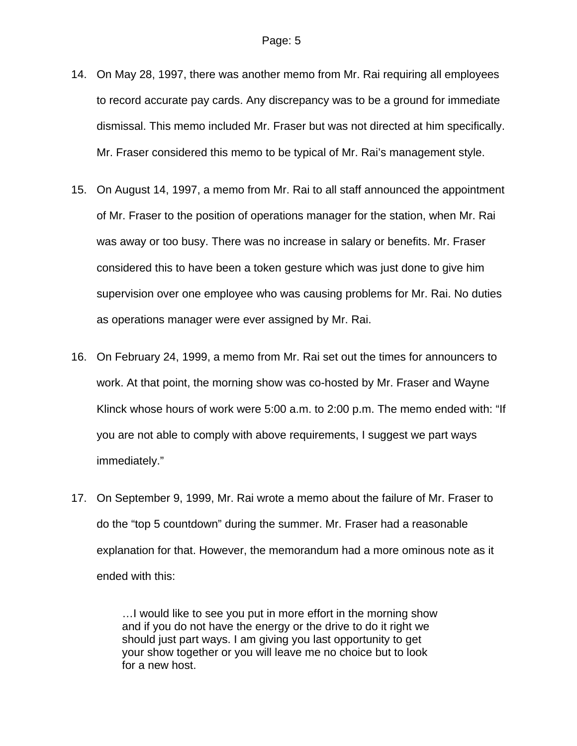- 14. On May 28, 1997, there was another memo from Mr. Rai requiring all employees to record accurate pay cards. Any discrepancy was to be a ground for immediate dismissal. This memo included Mr. Fraser but was not directed at him specifically. Mr. Fraser considered this memo to be typical of Mr. Rai's management style.
- 15. On August 14, 1997, a memo from Mr. Rai to all staff announced the appointment of Mr. Fraser to the position of operations manager for the station, when Mr. Rai was away or too busy. There was no increase in salary or benefits. Mr. Fraser considered this to have been a token gesture which was just done to give him supervision over one employee who was causing problems for Mr. Rai. No duties as operations manager were ever assigned by Mr. Rai.
- 16. On February 24, 1999, a memo from Mr. Rai set out the times for announcers to work. At that point, the morning show was co-hosted by Mr. Fraser and Wayne Klinck whose hours of work were 5:00 a.m. to 2:00 p.m. The memo ended with: "If you are not able to comply with above requirements, I suggest we part ways immediately."
- 17. On September 9, 1999, Mr. Rai wrote a memo about the failure of Mr. Fraser to do the "top 5 countdown" during the summer. Mr. Fraser had a reasonable explanation for that. However, the memorandum had a more ominous note as it ended with this:

…I would like to see you put in more effort in the morning show and if you do not have the energy or the drive to do it right we should just part ways. I am giving you last opportunity to get your show together or you will leave me no choice but to look for a new host.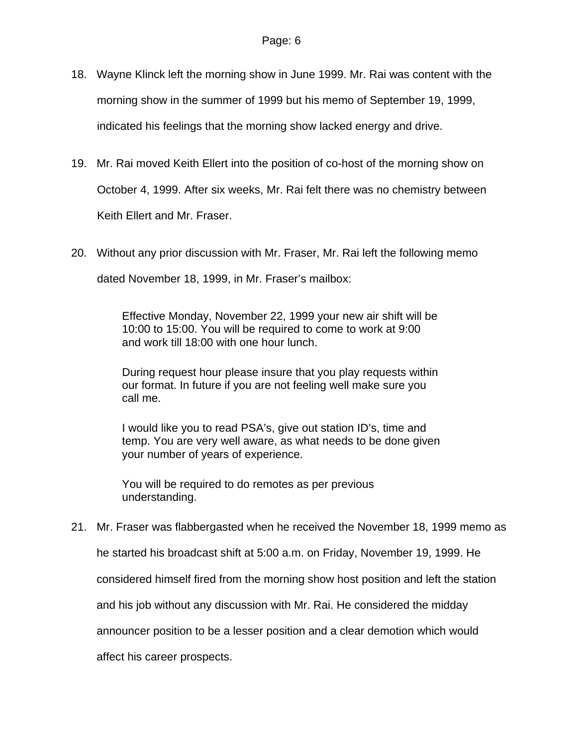- 18. Wayne Klinck left the morning show in June 1999. Mr. Rai was content with the morning show in the summer of 1999 but his memo of September 19, 1999, indicated his feelings that the morning show lacked energy and drive.
- 19. Mr. Rai moved Keith Ellert into the position of co-host of the morning show on October 4, 1999. After six weeks, Mr. Rai felt there was no chemistry between Keith Ellert and Mr. Fraser.
- 20. Without any prior discussion with Mr. Fraser, Mr. Rai left the following memo dated November 18, 1999, in Mr. Fraser's mailbox:

Effective Monday, November 22, 1999 your new air shift will be 10:00 to 15:00. You will be required to come to work at 9:00 and work till 18:00 with one hour lunch.

During request hour please insure that you play requests within our format. In future if you are not feeling well make sure you call me.

I would like you to read PSA's, give out station ID's, time and temp. You are very well aware, as what needs to be done given your number of years of experience.

You will be required to do remotes as per previous understanding.

21. Mr. Fraser was flabbergasted when he received the November 18, 1999 memo as

he started his broadcast shift at 5:00 a.m. on Friday, November 19, 1999. He

considered himself fired from the morning show host position and left the station

and his job without any discussion with Mr. Rai. He considered the midday

announcer position to be a lesser position and a clear demotion which would

affect his career prospects.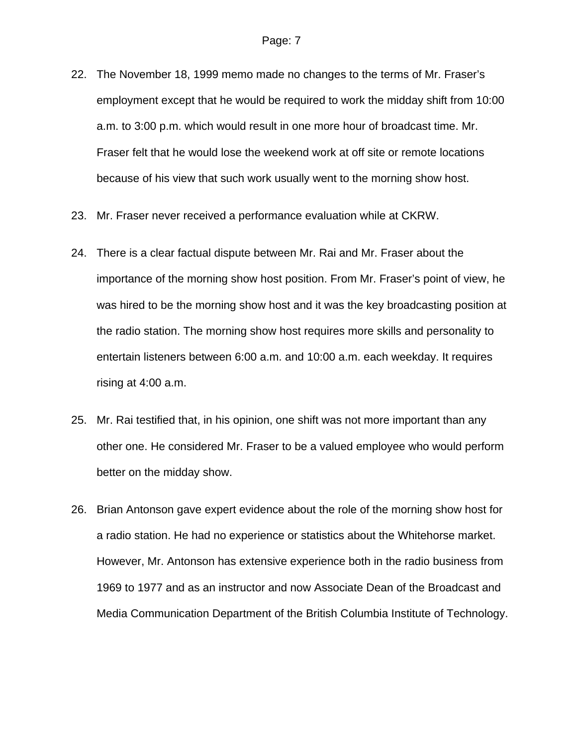- 22. The November 18, 1999 memo made no changes to the terms of Mr. Fraser's employment except that he would be required to work the midday shift from 10:00 a.m. to 3:00 p.m. which would result in one more hour of broadcast time. Mr. Fraser felt that he would lose the weekend work at off site or remote locations because of his view that such work usually went to the morning show host.
- 23. Mr. Fraser never received a performance evaluation while at CKRW.
- 24. There is a clear factual dispute between Mr. Rai and Mr. Fraser about the importance of the morning show host position. From Mr. Fraser's point of view, he was hired to be the morning show host and it was the key broadcasting position at the radio station. The morning show host requires more skills and personality to entertain listeners between 6:00 a.m. and 10:00 a.m. each weekday. It requires rising at 4:00 a.m.
- 25. Mr. Rai testified that, in his opinion, one shift was not more important than any other one. He considered Mr. Fraser to be a valued employee who would perform better on the midday show.
- 26. Brian Antonson gave expert evidence about the role of the morning show host for a radio station. He had no experience or statistics about the Whitehorse market. However, Mr. Antonson has extensive experience both in the radio business from 1969 to 1977 and as an instructor and now Associate Dean of the Broadcast and Media Communication Department of the British Columbia Institute of Technology.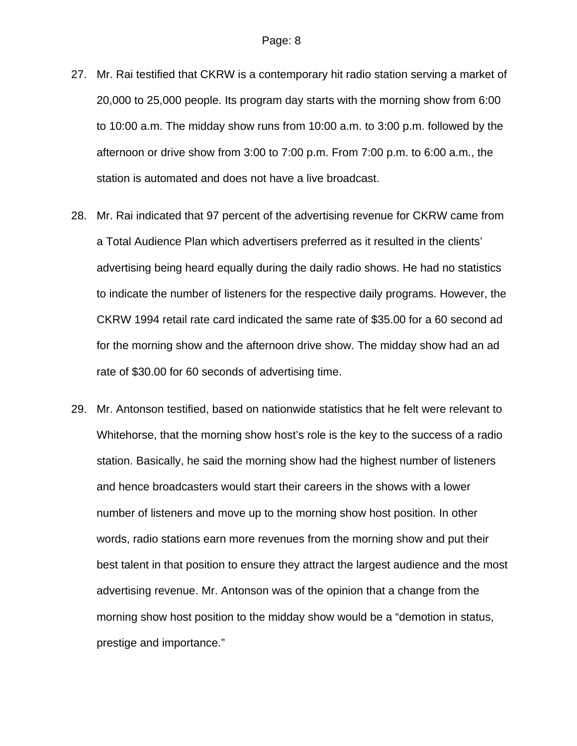- 27. Mr. Rai testified that CKRW is a contemporary hit radio station serving a market of 20,000 to 25,000 people. Its program day starts with the morning show from 6:00 to 10:00 a.m. The midday show runs from 10:00 a.m. to 3:00 p.m. followed by the afternoon or drive show from 3:00 to 7:00 p.m. From 7:00 p.m. to 6:00 a.m., the station is automated and does not have a live broadcast.
- 28. Mr. Rai indicated that 97 percent of the advertising revenue for CKRW came from a Total Audience Plan which advertisers preferred as it resulted in the clients' advertising being heard equally during the daily radio shows. He had no statistics to indicate the number of listeners for the respective daily programs. However, the CKRW 1994 retail rate card indicated the same rate of \$35.00 for a 60 second ad for the morning show and the afternoon drive show. The midday show had an ad rate of \$30.00 for 60 seconds of advertising time.
- 29. Mr. Antonson testified, based on nationwide statistics that he felt were relevant to Whitehorse, that the morning show host's role is the key to the success of a radio station. Basically, he said the morning show had the highest number of listeners and hence broadcasters would start their careers in the shows with a lower number of listeners and move up to the morning show host position. In other words, radio stations earn more revenues from the morning show and put their best talent in that position to ensure they attract the largest audience and the most advertising revenue. Mr. Antonson was of the opinion that a change from the morning show host position to the midday show would be a "demotion in status, prestige and importance."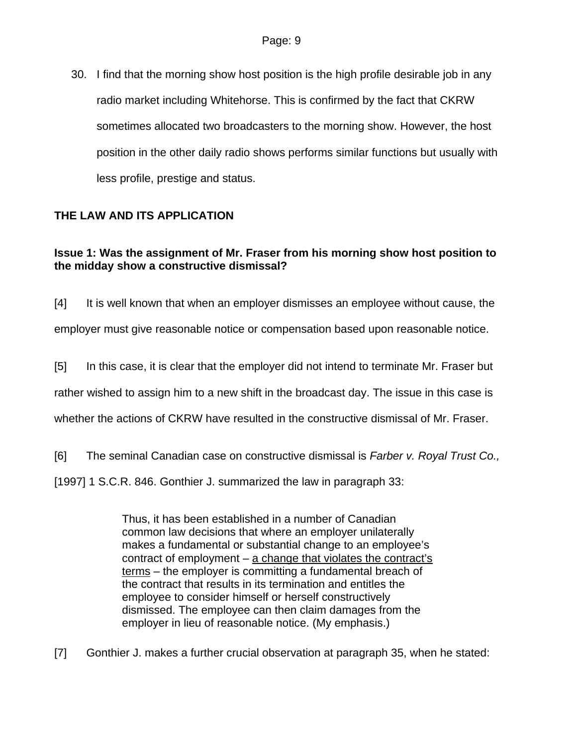30. I find that the morning show host position is the high profile desirable job in any radio market including Whitehorse. This is confirmed by the fact that CKRW sometimes allocated two broadcasters to the morning show. However, the host position in the other daily radio shows performs similar functions but usually with less profile, prestige and status.

# **THE LAW AND ITS APPLICATION**

## **Issue 1: Was the assignment of Mr. Fraser from his morning show host position to the midday show a constructive dismissal?**

[4] It is well known that when an employer dismisses an employee without cause, the employer must give reasonable notice or compensation based upon reasonable notice.

[5] In this case, it is clear that the employer did not intend to terminate Mr. Fraser but rather wished to assign him to a new shift in the broadcast day. The issue in this case is whether the actions of CKRW have resulted in the constructive dismissal of Mr. Fraser.

[6] The seminal Canadian case on constructive dismissal is *Farber v. Royal Trust Co.,*

[1997] 1 S.C.R. 846. Gonthier J. summarized the law in paragraph 33:

Thus, it has been established in a number of Canadian common law decisions that where an employer unilaterally makes a fundamental or substantial change to an employee's contract of employment – a change that violates the contract's terms – the employer is committing a fundamental breach of the contract that results in its termination and entitles the employee to consider himself or herself constructively dismissed. The employee can then claim damages from the employer in lieu of reasonable notice. (My emphasis.)

[7] Gonthier J. makes a further crucial observation at paragraph 35, when he stated: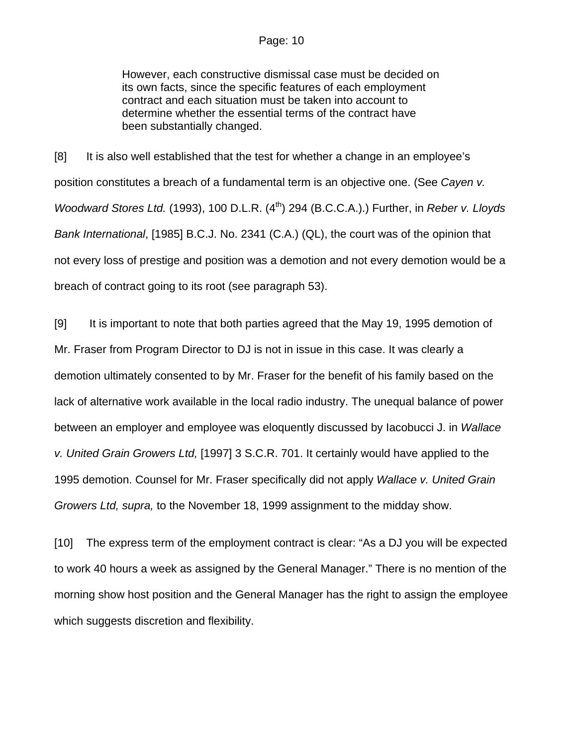#### Page: 10

However, each constructive dismissal case must be decided on its own facts, since the specific features of each employment contract and each situation must be taken into account to determine whether the essential terms of the contract have been substantially changed.

[8] It is also well established that the test for whether a change in an employee's position constitutes a breach of a fundamental term is an objective one. (See *Cayen v. Woodward Stores Ltd.* (1993), 100 D.L.R. (4<sup>th</sup>) 294 (B.C.C.A.).) Further, in *Reber v. Lloyds Bank International*, [1985] B.C.J. No. 2341 (C.A.) (QL), the court was of the opinion that not every loss of prestige and position was a demotion and not every demotion would be a breach of contract going to its root (see paragraph 53).

[9] It is important to note that both parties agreed that the May 19, 1995 demotion of Mr. Fraser from Program Director to DJ is not in issue in this case. It was clearly a demotion ultimately consented to by Mr. Fraser for the benefit of his family based on the lack of alternative work available in the local radio industry. The unequal balance of power between an employer and employee was eloquently discussed by Iacobucci J. in *Wallace v. United Grain Growers Ltd,* [1997] 3 S.C.R. 701. It certainly would have applied to the 1995 demotion. Counsel for Mr. Fraser specifically did not apply *Wallace v. United Grain Growers Ltd, supra,* to the November 18, 1999 assignment to the midday show.

[10] The express term of the employment contract is clear: "As a DJ you will be expected to work 40 hours a week as assigned by the General Manager." There is no mention of the morning show host position and the General Manager has the right to assign the employee which suggests discretion and flexibility.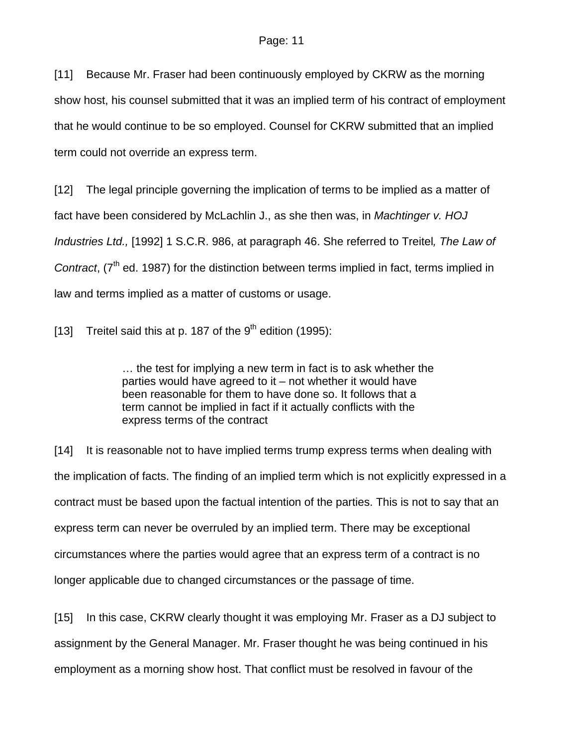[11] Because Mr. Fraser had been continuously employed by CKRW as the morning show host, his counsel submitted that it was an implied term of his contract of employment that he would continue to be so employed. Counsel for CKRW submitted that an implied term could not override an express term.

[12] The legal principle governing the implication of terms to be implied as a matter of fact have been considered by McLachlin J., as she then was, in *Machtinger v. HOJ Industries Ltd.,* [1992] 1 S.C.R. 986, at paragraph 46. She referred to Treitel*, The Law of Contract*, (7<sup>th</sup> ed. 1987) for the distinction between terms implied in fact, terms implied in law and terms implied as a matter of customs or usage.

[13] Treitel said this at p. 187 of the  $9<sup>th</sup>$  edition (1995):

… the test for implying a new term in fact is to ask whether the parties would have agreed to it – not whether it would have been reasonable for them to have done so. It follows that a term cannot be implied in fact if it actually conflicts with the express terms of the contract

[14] It is reasonable not to have implied terms trump express terms when dealing with the implication of facts. The finding of an implied term which is not explicitly expressed in a contract must be based upon the factual intention of the parties. This is not to say that an express term can never be overruled by an implied term. There may be exceptional circumstances where the parties would agree that an express term of a contract is no longer applicable due to changed circumstances or the passage of time.

[15] In this case, CKRW clearly thought it was employing Mr. Fraser as a DJ subject to assignment by the General Manager. Mr. Fraser thought he was being continued in his employment as a morning show host. That conflict must be resolved in favour of the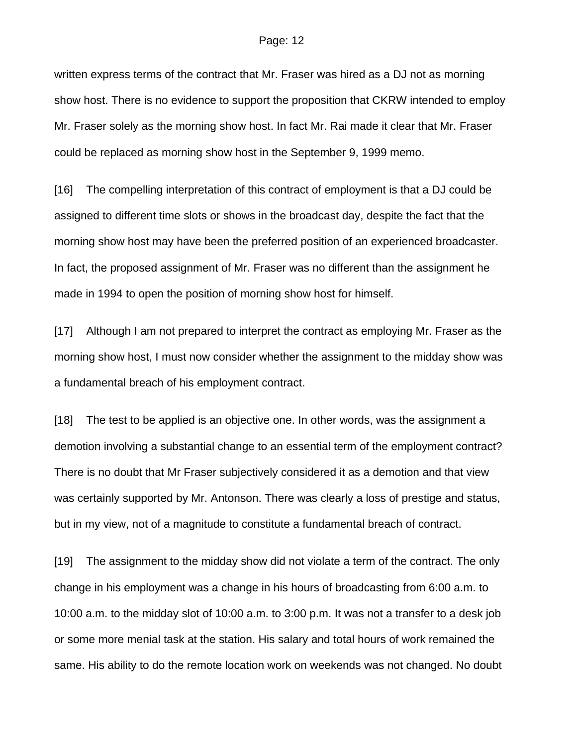written express terms of the contract that Mr. Fraser was hired as a DJ not as morning show host. There is no evidence to support the proposition that CKRW intended to employ Mr. Fraser solely as the morning show host. In fact Mr. Rai made it clear that Mr. Fraser could be replaced as morning show host in the September 9, 1999 memo.

[16] The compelling interpretation of this contract of employment is that a DJ could be assigned to different time slots or shows in the broadcast day, despite the fact that the morning show host may have been the preferred position of an experienced broadcaster. In fact, the proposed assignment of Mr. Fraser was no different than the assignment he made in 1994 to open the position of morning show host for himself.

[17] Although I am not prepared to interpret the contract as employing Mr. Fraser as the morning show host, I must now consider whether the assignment to the midday show was a fundamental breach of his employment contract.

[18] The test to be applied is an objective one. In other words, was the assignment a demotion involving a substantial change to an essential term of the employment contract? There is no doubt that Mr Fraser subjectively considered it as a demotion and that view was certainly supported by Mr. Antonson. There was clearly a loss of prestige and status, but in my view, not of a magnitude to constitute a fundamental breach of contract.

[19] The assignment to the midday show did not violate a term of the contract. The only change in his employment was a change in his hours of broadcasting from 6:00 a.m. to 10:00 a.m. to the midday slot of 10:00 a.m. to 3:00 p.m. It was not a transfer to a desk job or some more menial task at the station. His salary and total hours of work remained the same. His ability to do the remote location work on weekends was not changed. No doubt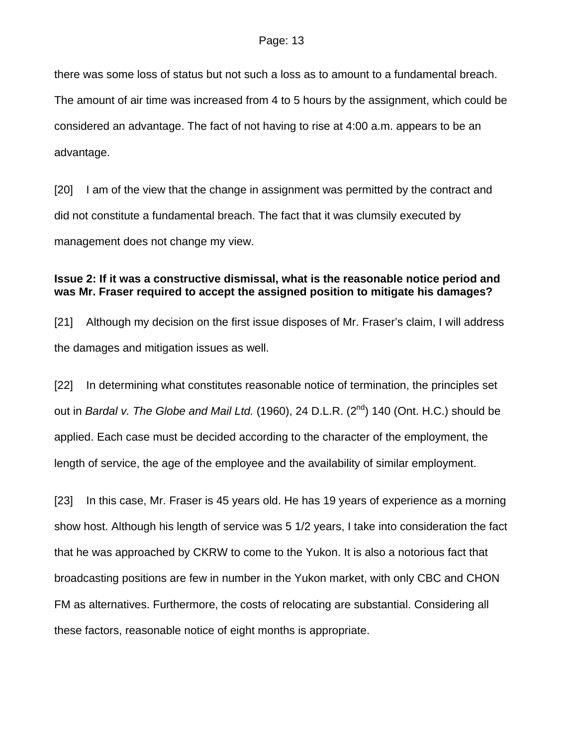there was some loss of status but not such a loss as to amount to a fundamental breach. The amount of air time was increased from 4 to 5 hours by the assignment, which could be considered an advantage. The fact of not having to rise at 4:00 a.m. appears to be an advantage.

[20] I am of the view that the change in assignment was permitted by the contract and did not constitute a fundamental breach. The fact that it was clumsily executed by management does not change my view.

## **Issue 2: If it was a constructive dismissal, what is the reasonable notice period and was Mr. Fraser required to accept the assigned position to mitigate his damages?**

[21] Although my decision on the first issue disposes of Mr. Fraser's claim, I will address the damages and mitigation issues as well.

[22] In determining what constitutes reasonable notice of termination, the principles set out in *Bardal v. The Globe and Mail Ltd.* (1960), 24 D.L.R. (2<sup>nd</sup>) 140 (Ont. H.C.) should be applied. Each case must be decided according to the character of the employment, the length of service, the age of the employee and the availability of similar employment.

[23] In this case, Mr. Fraser is 45 years old. He has 19 years of experience as a morning show host. Although his length of service was 5 1/2 years, I take into consideration the fact that he was approached by CKRW to come to the Yukon. It is also a notorious fact that broadcasting positions are few in number in the Yukon market, with only CBC and CHON FM as alternatives. Furthermore, the costs of relocating are substantial. Considering all these factors, reasonable notice of eight months is appropriate.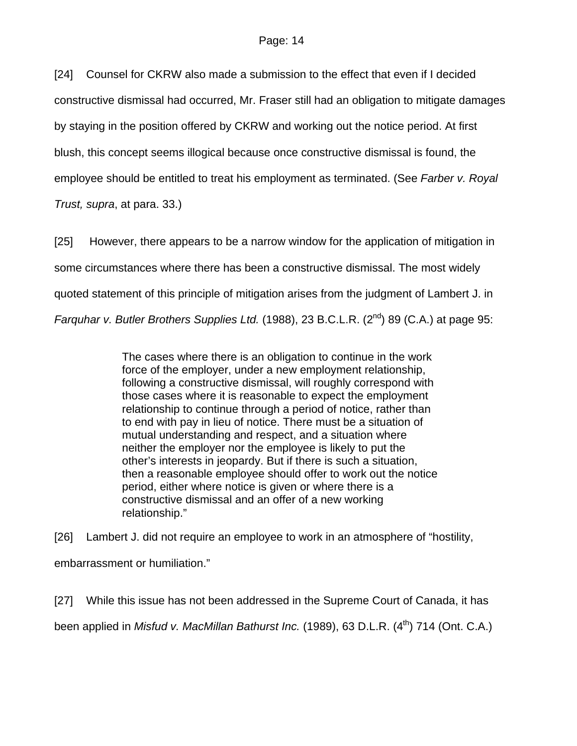[24] Counsel for CKRW also made a submission to the effect that even if I decided constructive dismissal had occurred, Mr. Fraser still had an obligation to mitigate damages by staying in the position offered by CKRW and working out the notice period. At first blush, this concept seems illogical because once constructive dismissal is found, the employee should be entitled to treat his employment as terminated. (See *Farber v. Royal* 

*Trust, supra*, at para. 33.)

[25] However, there appears to be a narrow window for the application of mitigation in some circumstances where there has been a constructive dismissal. The most widely quoted statement of this principle of mitigation arises from the judgment of Lambert J. in *Farquhar v. Butler Brothers Supplies Ltd.* (1988), 23 B.C.L.R. (2<sup>nd</sup>) 89 (C.A.) at page 95:

> The cases where there is an obligation to continue in the work force of the employer, under a new employment relationship, following a constructive dismissal, will roughly correspond with those cases where it is reasonable to expect the employment relationship to continue through a period of notice, rather than to end with pay in lieu of notice. There must be a situation of mutual understanding and respect, and a situation where neither the employer nor the employee is likely to put the other's interests in jeopardy. But if there is such a situation, then a reasonable employee should offer to work out the notice period, either where notice is given or where there is a constructive dismissal and an offer of a new working relationship."

[26] Lambert J. did not require an employee to work in an atmosphere of "hostility, embarrassment or humiliation."

[27] While this issue has not been addressed in the Supreme Court of Canada, it has been applied in *Misfud v. MacMillan Bathurst Inc.* (1989), 63 D.L.R. (4<sup>th</sup>) 714 (Ont. C.A.)